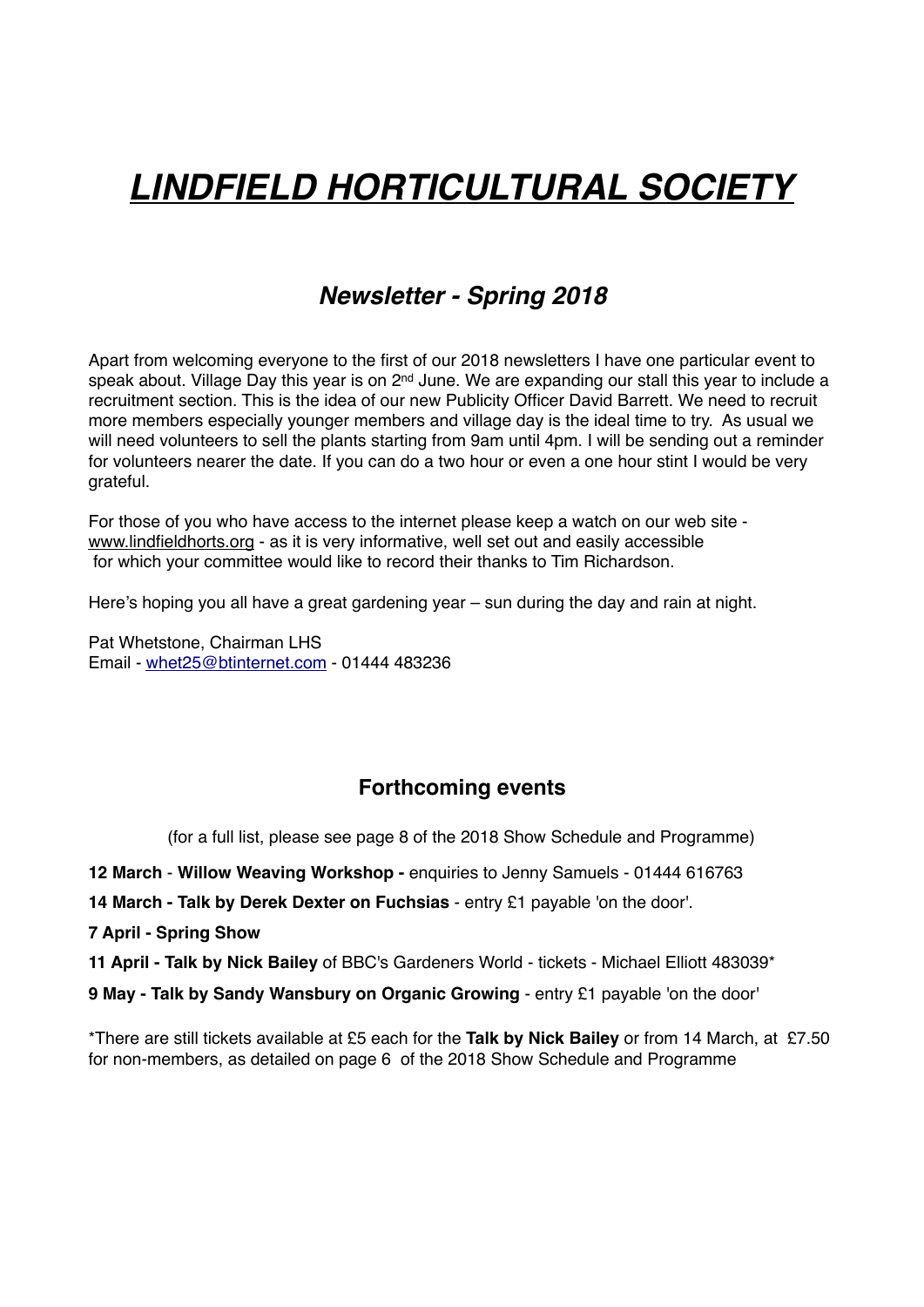# *LINDFIELD HORTICULTURAL SOCIETY*

# *Newsletter - Spring 2018*

Apart from welcoming everyone to the first of our 2018 newsletters I have one particular event to speak about. Village Day this year is on 2<sup>nd</sup> June. We are expanding our stall this year to include a recruitment section. This is the idea of our new Publicity Officer David Barrett. We need to recruit more members especially younger members and village day is the ideal time to try. As usual we will need volunteers to sell the plants starting from 9am until 4pm. I will be sending out a reminder for volunteers nearer the date. If you can do a two hour or even a one hour stint I would be very grateful.

For those of you who have access to the internet please keep a watch on our web site [www.lindfieldhorts.org](http://www.lindfieldhorts.org) - as it is very informative, well set out and easily accessible for which your committee would like to record their thanks to Tim Richardson.

Here's hoping you all have a great gardening year – sun during the day and rain at night.

Pat Whetstone, Chairman LHS Email - [whet25@btinternet.com](mailto:whet25@btinternet.com) - 01444 483236

# **Forthcoming events**

(for a full list, please see page 8 of the 2018 Show Schedule and Programme)

**12 March** - **Willow Weaving Workshop -** enquiries to Jenny Samuels - 01444 616763

**14 March - Talk by Derek Dexter on Fuchsias** - entry £1 payable 'on the door'.

**7 April - Spring Show**

**11 April - Talk by Nick Bailey** of BBC's Gardeners World - tickets - Michael Elliott 483039\*

**9 May - Talk by Sandy Wansbury on Organic Growing** - entry £1 payable 'on the door'

\*There are still tickets available at £5 each for the **Talk by Nick Bailey** or from 14 March, at £7.50 for non-members, as detailed on page 6 of the 2018 Show Schedule and Programme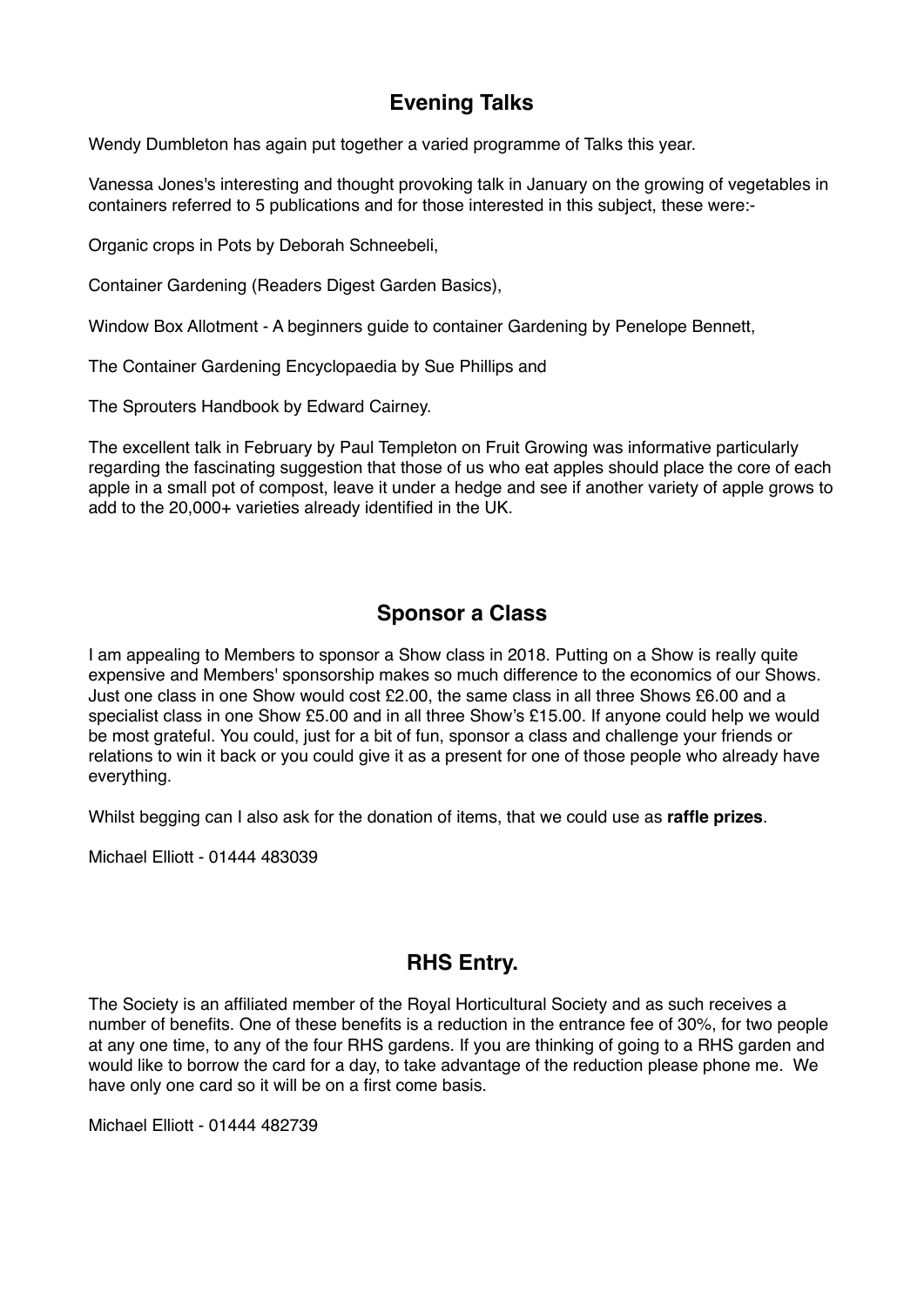# **Evening Talks**

Wendy Dumbleton has again put together a varied programme of Talks this year.

Vanessa Jones's interesting and thought provoking talk in January on the growing of vegetables in containers referred to 5 publications and for those interested in this subject, these were:-

Organic crops in Pots by Deborah Schneebeli,

Container Gardening (Readers Digest Garden Basics),

Window Box Allotment - A beginners guide to container Gardening by Penelope Bennett,

The Container Gardening Encyclopaedia by Sue Phillips and

The Sprouters Handbook by Edward Cairney.

The excellent talk in February by Paul Templeton on Fruit Growing was informative particularly regarding the fascinating suggestion that those of us who eat apples should place the core of each apple in a small pot of compost, leave it under a hedge and see if another variety of apple grows to add to the 20,000+ varieties already identified in the UK.

## **Sponsor a Class**

I am appealing to Members to sponsor a Show class in 2018. Putting on a Show is really quite expensive and Members' sponsorship makes so much difference to the economics of our Shows. Just one class in one Show would cost £2.00, the same class in all three Shows £6.00 and a specialist class in one Show £5.00 and in all three Show's £15.00. If anyone could help we would be most grateful. You could, just for a bit of fun, sponsor a class and challenge your friends or relations to win it back or you could give it as a present for one of those people who already have everything.

Whilst begging can I also ask for the donation of items, that we could use as **raffle prizes**.

Michael Elliott - 01444 483039

#### **RHS Entry.**

The Society is an affiliated member of the Royal Horticultural Society and as such receives a number of benefits. One of these benefits is a reduction in the entrance fee of 30%, for two people at any one time, to any of the four RHS gardens. If you are thinking of going to a RHS garden and would like to borrow the card for a day, to take advantage of the reduction please phone me. We have only one card so it will be on a first come basis.

Michael Elliott - 01444 482739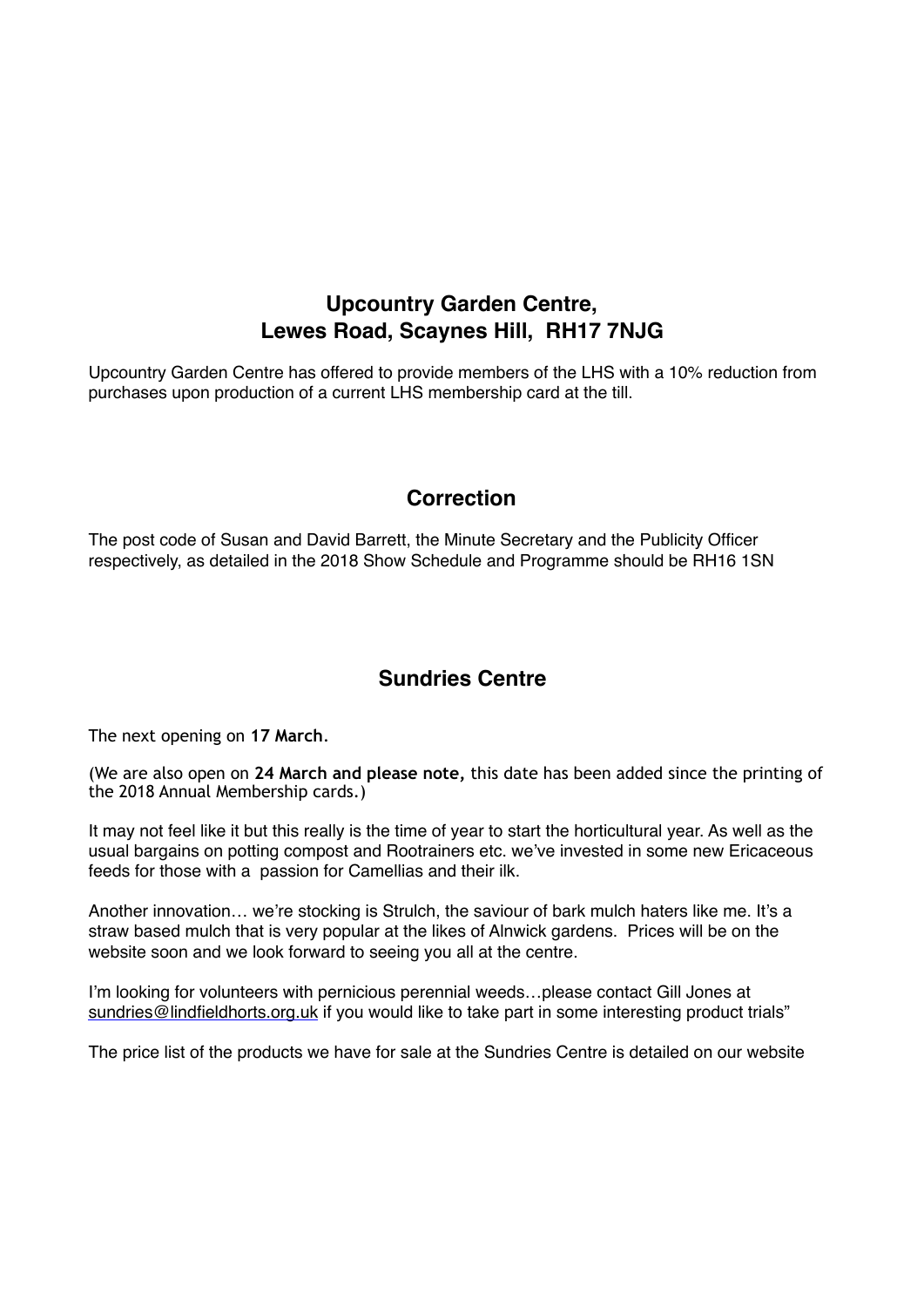# **Upcountry Garden Centre, Lewes Road, Scaynes Hill, RH17 7NJG**

Upcountry Garden Centre has offered to provide members of the LHS with a 10% reduction from purchases upon production of a current LHS membership card at the till.

#### **Correction**

The post code of Susan and David Barrett, the Minute Secretary and the Publicity Officer respectively, as detailed in the 2018 Show Schedule and Programme should be RH16 1SN

# **Sundries Centre**

The next opening on **17 March**.

(We are also open on **24 March and please note,** this date has been added since the printing of the 2018 Annual Membership cards.)

It may not feel like it but this really is the time of year to start the horticultural year. As well as the usual bargains on potting compost and Rootrainers etc. we've invested in some new Ericaceous feeds for those with a passion for Camellias and their ilk.

Another innovation… we're stocking is Strulch, the saviour of bark mulch haters like me. It's a straw based mulch that is very popular at the likes of Alnwick gardens. Prices will be on the website soon and we look forward to seeing you all at the centre.

I'm looking for volunteers with pernicious perennial weeds…please contact Gill Jones at [sundries@lindfieldhorts.org.uk](mailto:sundries@lindfieldhorts.org.uk) if you would like to take part in some interesting product trials"

The price list of the products we have for sale at the Sundries Centre is detailed on our website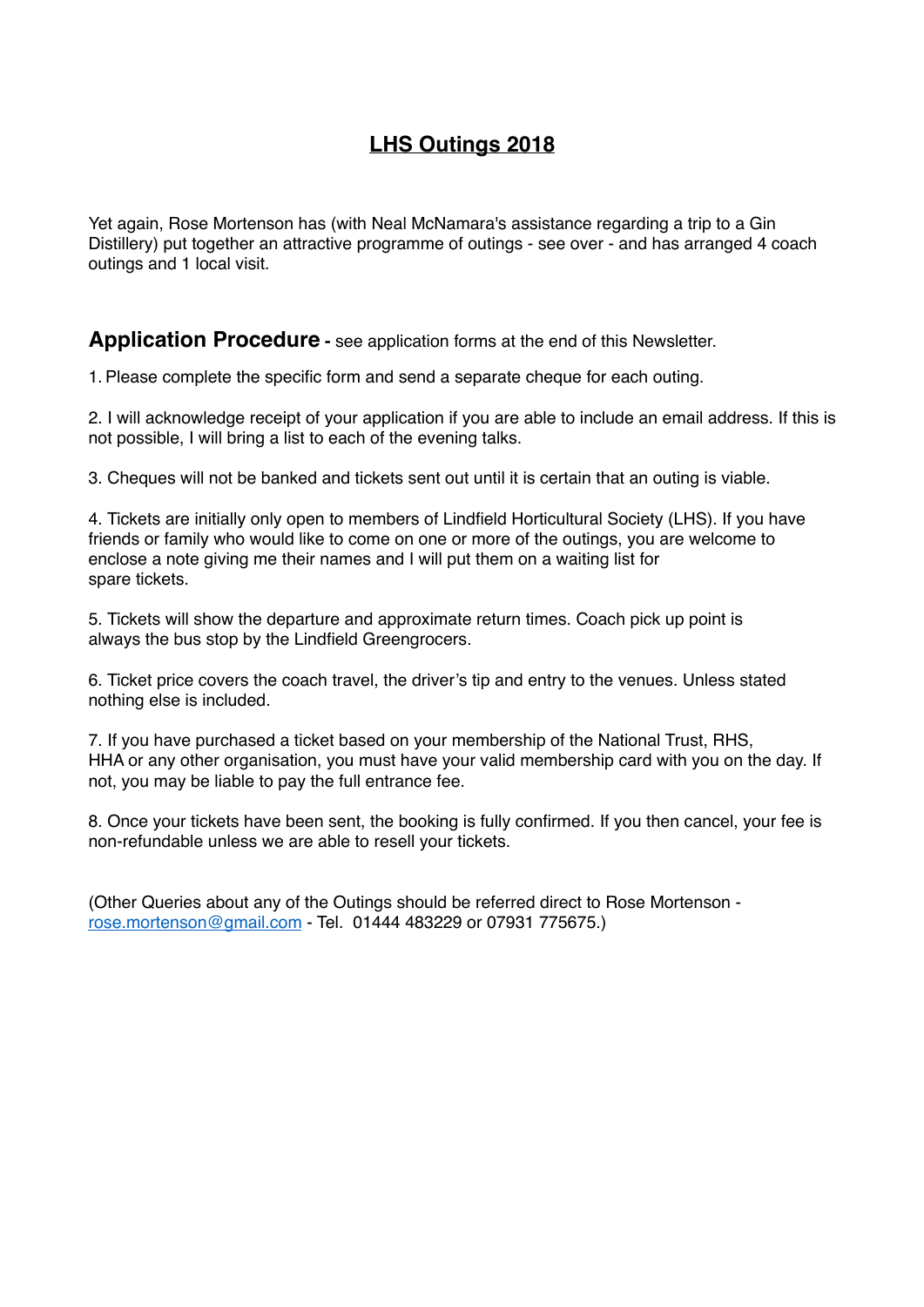# **LHS Outings 2018**

Yet again, Rose Mortenson has (with Neal McNamara's assistance regarding a trip to a Gin Distillery) put together an attractive programme of outings - see over - and has arranged 4 coach outings and 1 local visit.

**Application Procedure -** see application forms at the end of this Newsletter.

1.Please complete the specific form and send a separate cheque for each outing.

2. I will acknowledge receipt of your application if you are able to include an email address. If this is not possible, I will bring a list to each of the evening talks.

3. Cheques will not be banked and tickets sent out until it is certain that an outing is viable.

4. Tickets are initially only open to members of Lindfield Horticultural Society (LHS). If you have friends or family who would like to come on one or more of the outings, you are welcome to enclose a note giving me their names and I will put them on a waiting list for spare tickets.

5. Tickets will show the departure and approximate return times. Coach pick up point is always the bus stop by the Lindfield Greengrocers.

6. Ticket price covers the coach travel, the driver's tip and entry to the venues. Unless stated nothing else is included.

7. If you have purchased a ticket based on your membership of the National Trust, RHS, HHA or any other organisation, you must have your valid membership card with you on the day. If not, you may be liable to pay the full entrance fee.

8. Once your tickets have been sent, the booking is fully confirmed. If you then cancel, your fee is non-refundable unless we are able to resell your tickets.

(Other Queries about any of the Outings should be referred direct to Rose Mortenson [rose.mortenson@gmail.com](mailto:rose.mortenson@gmail.com) - Tel. 01444 483229 or 07931 775675.)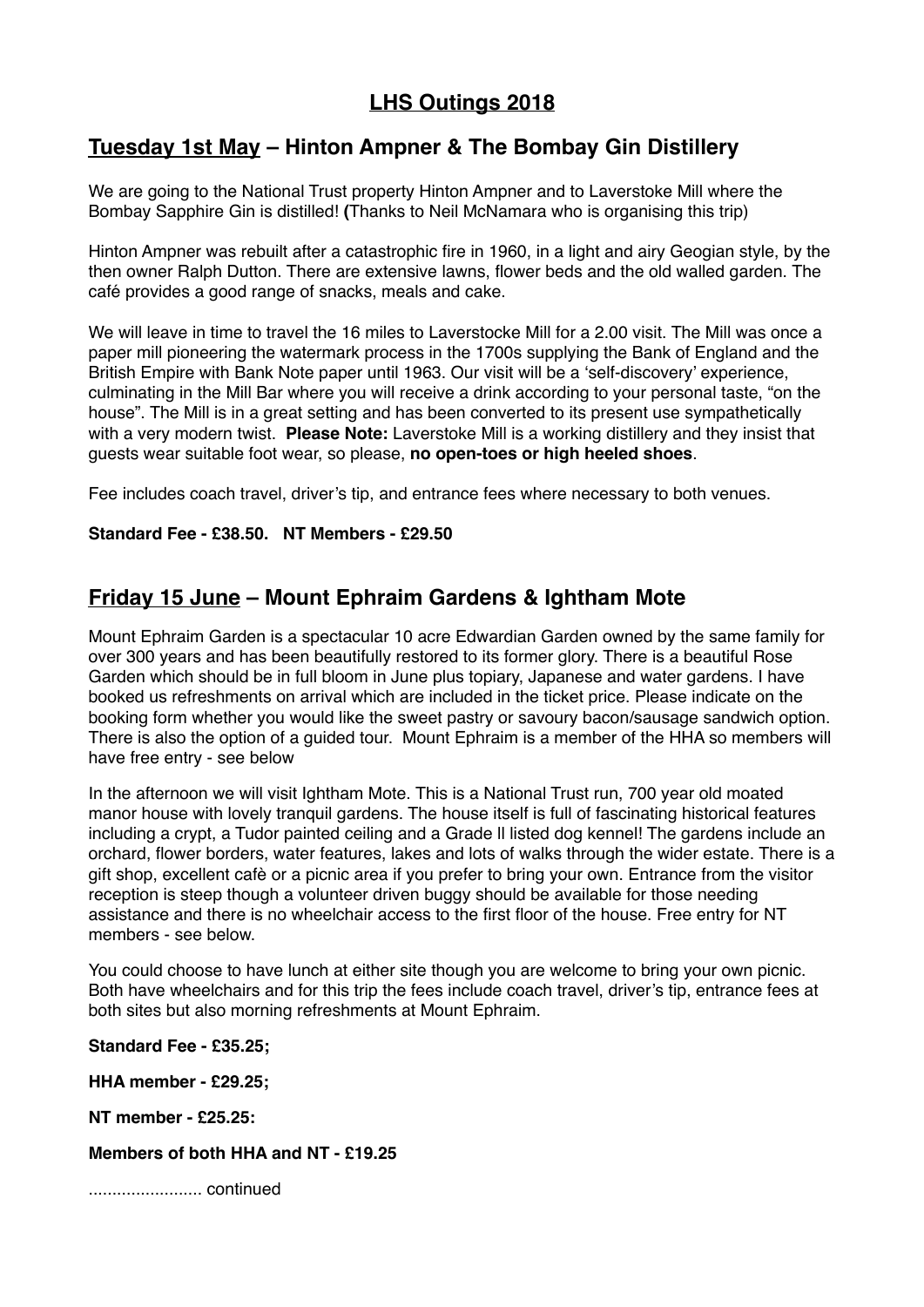# **LHS Outings 2018**

## **Tuesday 1st May – Hinton Ampner & The Bombay Gin Distillery**

We are going to the National Trust property Hinton Ampner and to Laverstoke Mill where the Bombay Sapphire Gin is distilled! **(**Thanks to Neil McNamara who is organising this trip)

Hinton Ampner was rebuilt after a catastrophic fire in 1960, in a light and airy Geogian style, by the then owner Ralph Dutton. There are extensive lawns, flower beds and the old walled garden. The café provides a good range of snacks, meals and cake.

We will leave in time to travel the 16 miles to Laverstocke Mill for a 2.00 visit. The Mill was once a paper mill pioneering the watermark process in the 1700s supplying the Bank of England and the British Empire with Bank Note paper until 1963. Our visit will be a 'self-discovery' experience, culminating in the Mill Bar where you will receive a drink according to your personal taste, "on the house". The Mill is in a great setting and has been converted to its present use sympathetically with a very modern twist. **Please Note:** Laverstoke Mill is a working distillery and they insist that guests wear suitable foot wear, so please, **no open-toes or high heeled shoes**.

Fee includes coach travel, driver's tip, and entrance fees where necessary to both venues.

#### **Standard Fee - £38.50. NT Members - £29.50**

## **Friday 15 June – Mount Ephraim Gardens & Ightham Mote**

Mount Ephraim Garden is a spectacular 10 acre Edwardian Garden owned by the same family for over 300 years and has been beautifully restored to its former glory. There is a beautiful Rose Garden which should be in full bloom in June plus topiary, Japanese and water gardens. I have booked us refreshments on arrival which are included in the ticket price. Please indicate on the booking form whether you would like the sweet pastry or savoury bacon/sausage sandwich option. There is also the option of a guided tour. Mount Ephraim is a member of the HHA so members will have free entry - see below

In the afternoon we will visit Ightham Mote. This is a National Trust run, 700 year old moated manor house with lovely tranquil gardens. The house itself is full of fascinating historical features including a crypt, a Tudor painted ceiling and a Grade ll listed dog kennel! The gardens include an orchard, flower borders, water features, lakes and lots of walks through the wider estate. There is a gift shop, excellent cafè or a picnic area if you prefer to bring your own. Entrance from the visitor reception is steep though a volunteer driven buggy should be available for those needing assistance and there is no wheelchair access to the first floor of the house. Free entry for NT members - see below.

You could choose to have lunch at either site though you are welcome to bring your own picnic. Both have wheelchairs and for this trip the fees include coach travel, driver's tip, entrance fees at both sites but also morning refreshments at Mount Ephraim.

**Standard Fee - £35.25;**

**HHA member - £29.25;** 

**NT member - £25.25:** 

#### **Members of both HHA and NT - £19.25**

........................ continued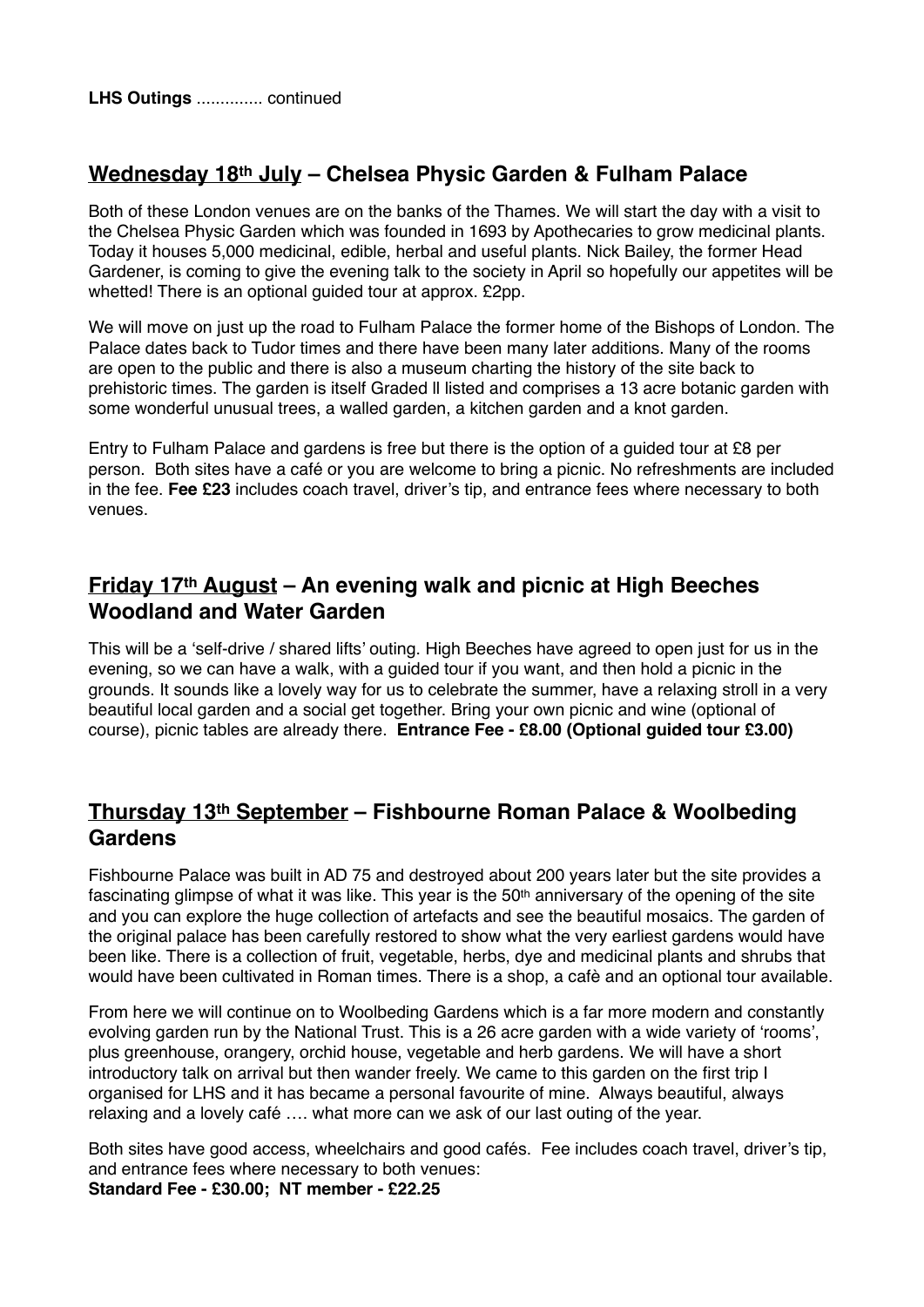# **Wednesday 18th July – Chelsea Physic Garden & Fulham Palace**

Both of these London venues are on the banks of the Thames. We will start the day with a visit to the Chelsea Physic Garden which was founded in 1693 by Apothecaries to grow medicinal plants. Today it houses 5,000 medicinal, edible, herbal and useful plants. Nick Bailey, the former Head Gardener, is coming to give the evening talk to the society in April so hopefully our appetites will be whetted! There is an optional guided tour at approx. £2pp.

We will move on just up the road to Fulham Palace the former home of the Bishops of London. The Palace dates back to Tudor times and there have been many later additions. Many of the rooms are open to the public and there is also a museum charting the history of the site back to prehistoric times. The garden is itself Graded ll listed and comprises a 13 acre botanic garden with some wonderful unusual trees, a walled garden, a kitchen garden and a knot garden.

Entry to Fulham Palace and gardens is free but there is the option of a guided tour at £8 per person. Both sites have a café or you are welcome to bring a picnic. No refreshments are included in the fee. **Fee £23** includes coach travel, driver's tip, and entrance fees where necessary to both venues.

# **Friday 17th August – An evening walk and picnic at High Beeches Woodland and Water Garden**

This will be a 'self-drive / shared lifts' outing. High Beeches have agreed to open just for us in the evening, so we can have a walk, with a guided tour if you want, and then hold a picnic in the grounds. It sounds like a lovely way for us to celebrate the summer, have a relaxing stroll in a very beautiful local garden and a social get together. Bring your own picnic and wine (optional of course), picnic tables are already there. **Entrance Fee - £8.00 (Optional guided tour £3.00)**

# **Thursday 13th September – Fishbourne Roman Palace & Woolbeding Gardens**

Fishbourne Palace was built in AD 75 and destroyed about 200 years later but the site provides a fascinating glimpse of what it was like. This year is the 50<sup>th</sup> anniversary of the opening of the site and you can explore the huge collection of artefacts and see the beautiful mosaics. The garden of the original palace has been carefully restored to show what the very earliest gardens would have been like. There is a collection of fruit, vegetable, herbs, dye and medicinal plants and shrubs that would have been cultivated in Roman times. There is a shop, a cafè and an optional tour available.

From here we will continue on to Woolbeding Gardens which is a far more modern and constantly evolving garden run by the National Trust. This is a 26 acre garden with a wide variety of 'rooms', plus greenhouse, orangery, orchid house, vegetable and herb gardens. We will have a short introductory talk on arrival but then wander freely. We came to this garden on the first trip I organised for LHS and it has became a personal favourite of mine. Always beautiful, always relaxing and a lovely café …. what more can we ask of our last outing of the year.

Both sites have good access, wheelchairs and good cafés. Fee includes coach travel, driver's tip, and entrance fees where necessary to both venues: **Standard Fee - £30.00; NT member - £22.25**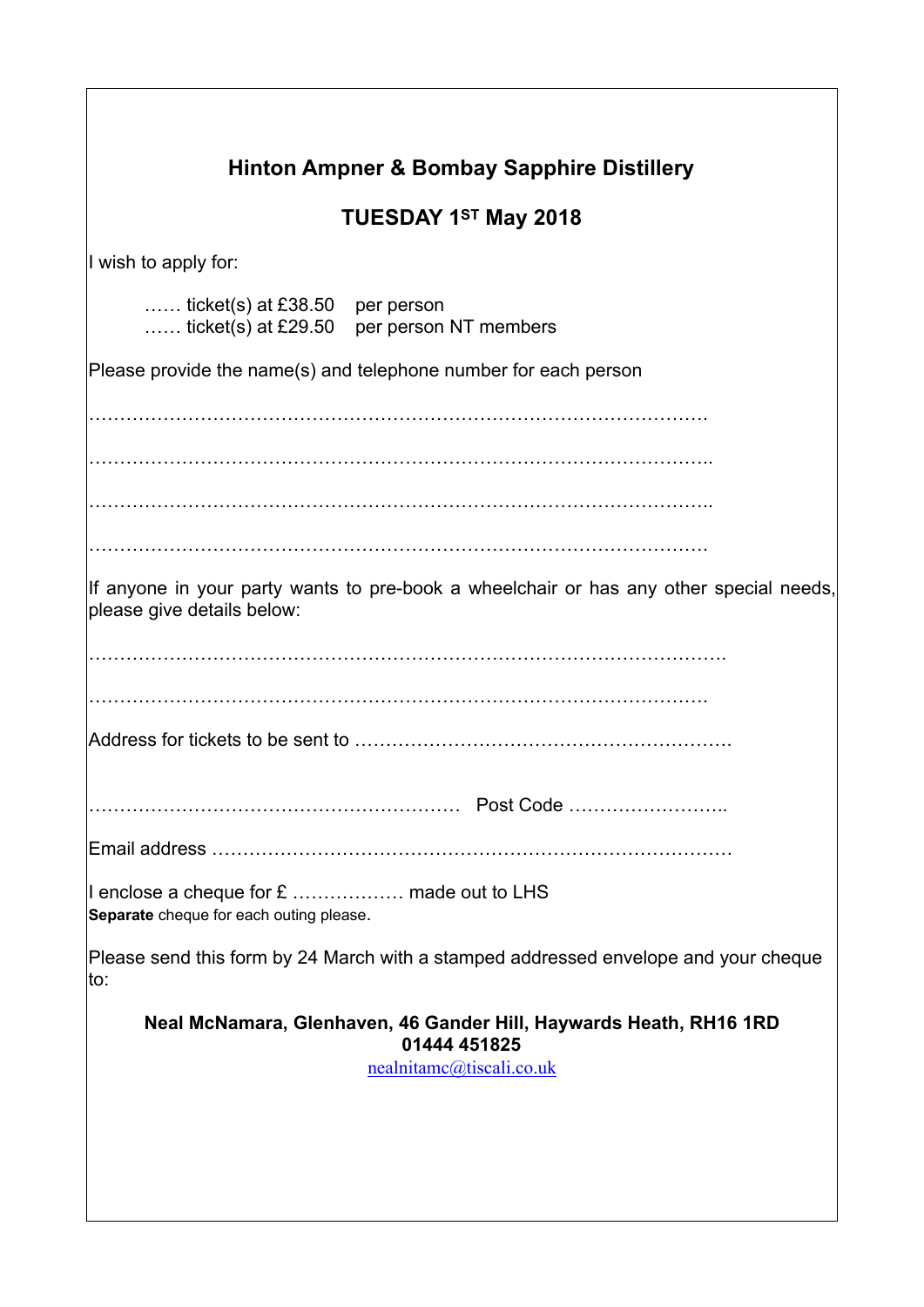| <b>Hinton Ampner &amp; Bombay Sapphire Distillery</b>                                                                |  |  |
|----------------------------------------------------------------------------------------------------------------------|--|--|
| <b>TUESDAY 1ST May 2018</b>                                                                                          |  |  |
| I wish to apply for:                                                                                                 |  |  |
| ticket(s) at $£38.50$ per person<br>ticket(s) at £29.50 per person NT members                                        |  |  |
| Please provide the name(s) and telephone number for each person                                                      |  |  |
|                                                                                                                      |  |  |
|                                                                                                                      |  |  |
|                                                                                                                      |  |  |
|                                                                                                                      |  |  |
| If anyone in your party wants to pre-book a wheelchair or has any other special needs,<br>please give details below: |  |  |
|                                                                                                                      |  |  |
|                                                                                                                      |  |  |
|                                                                                                                      |  |  |
|                                                                                                                      |  |  |
|                                                                                                                      |  |  |
| I enclose a cheque for $E$ made out to LHS<br>Separate cheque for each outing please.                                |  |  |
| Please send this form by 24 March with a stamped addressed envelope and your cheque<br>∣to∶                          |  |  |
| Neal McNamara, Glenhaven, 46 Gander Hill, Haywards Heath, RH16 1RD<br>01444 451825                                   |  |  |
| nealnitamc@tiscali.co.uk                                                                                             |  |  |
|                                                                                                                      |  |  |
|                                                                                                                      |  |  |
|                                                                                                                      |  |  |

٦

 $\sqrt{2}$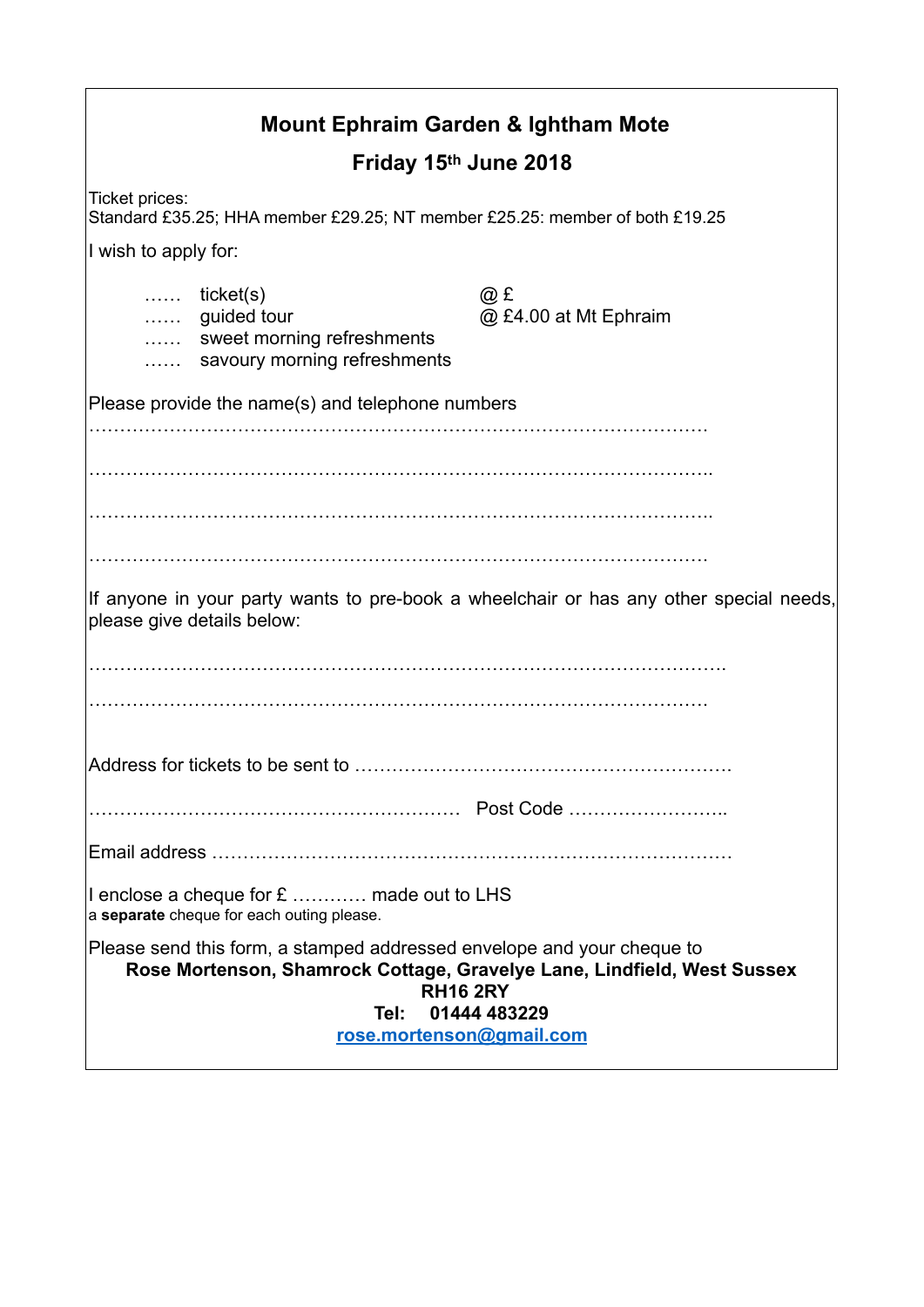| <b>Mount Ephraim Garden &amp; Ightham Mote</b>                                                                                                                                                                           |                             |  |
|--------------------------------------------------------------------------------------------------------------------------------------------------------------------------------------------------------------------------|-----------------------------|--|
| Friday 15th June 2018                                                                                                                                                                                                    |                             |  |
| Ticket prices:<br>Standard £35.25; HHA member £29.25; NT member £25.25: member of both £19.25                                                                                                                            |                             |  |
| I wish to apply for:                                                                                                                                                                                                     |                             |  |
| ticket(s)<br>.<br>guided tour<br>sweet morning refreshments<br>savoury morning refreshments                                                                                                                              | @£<br>@ £4.00 at Mt Ephraim |  |
| Please provide the name(s) and telephone numbers                                                                                                                                                                         |                             |  |
|                                                                                                                                                                                                                          |                             |  |
|                                                                                                                                                                                                                          |                             |  |
|                                                                                                                                                                                                                          |                             |  |
|                                                                                                                                                                                                                          |                             |  |
| If anyone in your party wants to pre-book a wheelchair or has any other special needs,<br>please give details below:                                                                                                     |                             |  |
|                                                                                                                                                                                                                          |                             |  |
|                                                                                                                                                                                                                          |                             |  |
|                                                                                                                                                                                                                          |                             |  |
|                                                                                                                                                                                                                          |                             |  |
|                                                                                                                                                                                                                          |                             |  |
| I enclose a cheque for $E$ made out to LHS<br>a separate cheque for each outing please.                                                                                                                                  |                             |  |
| Please send this form, a stamped addressed envelope and your cheque to<br>Rose Mortenson, Shamrock Cottage, Gravelye Lane, Lindfield, West Sussex<br><b>RH16 2RY</b><br>01444 483229<br>Tel:<br>rose.mortenson@gmail.com |                             |  |

 $\mathbf{I}$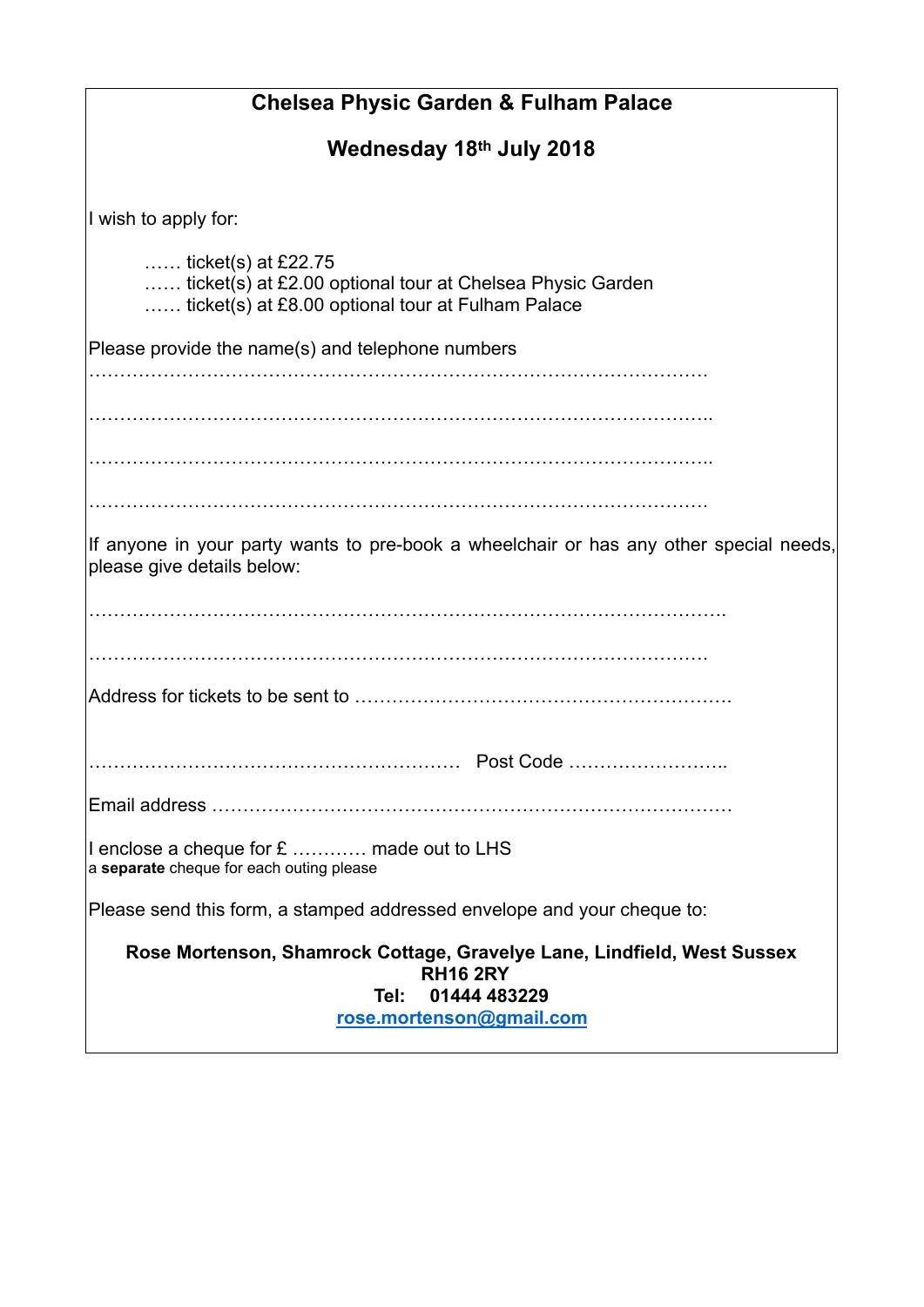| <b>Chelsea Physic Garden &amp; Fulham Palace</b>                                                                                               |  |
|------------------------------------------------------------------------------------------------------------------------------------------------|--|
| Wednesday 18th July 2018                                                                                                                       |  |
| I wish to apply for:                                                                                                                           |  |
| $\ldots$ ticket(s) at £22.75<br>ticket(s) at £2.00 optional tour at Chelsea Physic Garden<br>ticket(s) at £8.00 optional tour at Fulham Palace |  |
| Please provide the name(s) and telephone numbers                                                                                               |  |
|                                                                                                                                                |  |
|                                                                                                                                                |  |
|                                                                                                                                                |  |
|                                                                                                                                                |  |
| If anyone in your party wants to pre-book a wheelchair or has any other special needs,<br>please give details below:                           |  |
|                                                                                                                                                |  |
|                                                                                                                                                |  |
|                                                                                                                                                |  |
|                                                                                                                                                |  |
|                                                                                                                                                |  |
|                                                                                                                                                |  |
| I enclose a cheque for $E$ made out to LHS<br>a separate cheque for each outing please                                                         |  |
| Please send this form, a stamped addressed envelope and your cheque to:                                                                        |  |
| Rose Mortenson, Shamrock Cottage, Gravelye Lane, Lindfield, West Sussex<br><b>RH16 2RY</b><br>01444 483229<br>Tel:<br>rose.mortenson@gmail.com |  |
|                                                                                                                                                |  |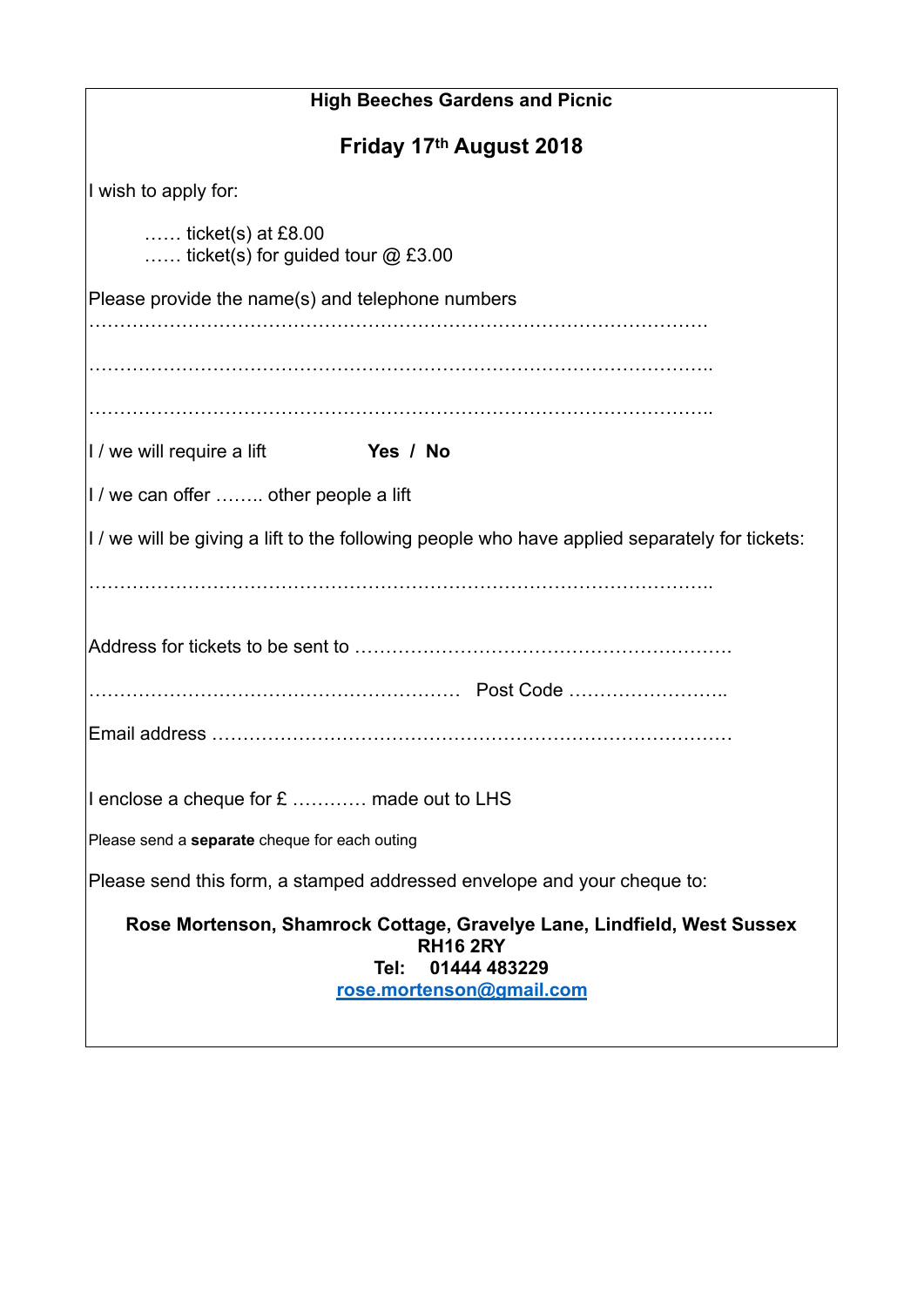| <b>High Beeches Gardens and Picnic</b>                                                                                                         |
|------------------------------------------------------------------------------------------------------------------------------------------------|
| Friday 17th August 2018                                                                                                                        |
| I wish to apply for:                                                                                                                           |
| $\ldots$ ticket(s) at £8.00<br>ticket(s) for guided tour $@E3.00$                                                                              |
| Please provide the name(s) and telephone numbers                                                                                               |
|                                                                                                                                                |
|                                                                                                                                                |
| I / we will require a lift<br><b>Example Structure Yes / No</b>                                                                                |
| $ 1 /$ we can offer  other people a lift                                                                                                       |
| $\vert$ I / we will be giving a lift to the following people who have applied separately for tickets:                                          |
|                                                                                                                                                |
|                                                                                                                                                |
|                                                                                                                                                |
|                                                                                                                                                |
|                                                                                                                                                |
| I enclose a cheque for $E$ made out to LHS                                                                                                     |
| Please send a separate cheque for each outing                                                                                                  |
| Please send this form, a stamped addressed envelope and your cheque to:                                                                        |
| Rose Mortenson, Shamrock Cottage, Gravelye Lane, Lindfield, West Sussex<br><b>RH16 2RY</b><br>01444 483229<br>Tel:<br>rose.mortenson@gmail.com |